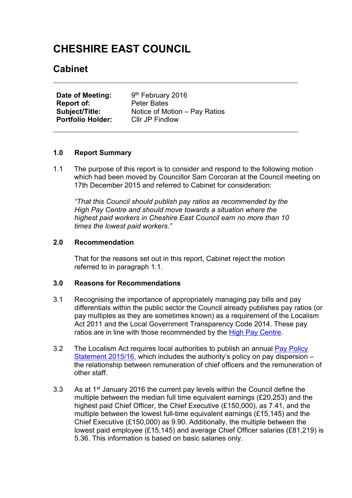# **CHESHIRE EAST COUNCIL**

# **Cabinet**

**Date of Meeting:** 9<sup>th</sup> February 2016 **Report of:** Peter Bates **Subject/Title:** Notice of Motion – Pay Ratios **Portfolio Holder:** Cllr JP Findlow

#### **1.0 Report Summary**

1.1 The purpose of this report is to consider and respond to the following motion which had been moved by Councillor Sam Corcoran at the Council meeting on 17th December 2015 and referred to Cabinet for consideration:

*"That this Council should publish pay ratios as recommended by the High Pay Centre and should move towards a situation where the highest paid workers in Cheshire East Council earn no more than 10 times the lowest paid workers."*

#### **2.0 Recommendation**

That for the reasons set out in this report, Cabinet reject the motion referred to in paragraph 1.1.

#### **3.0 Reasons for Recommendations**

- 3.1 Recognising the importance of appropriately managing pay bills and pay differentials within the public sector the Council already publishes pay ratios (or pay multiples as they are sometimes known) as a requirement of the Localism Act 2011 and the Local Government Transparency Code 2014. These pay ratios are in line with those recommended by the High Pay [Centre.](http://highpaycentre.org/)
- 3.2 The Localism Act requires local authorities to publish an annual Pay [Policy](http://www.cheshireeast.gov.uk/search.aspx?search_keywords=pay+policy+statement) [Statement](http://www.cheshireeast.gov.uk/search.aspx?search_keywords=pay+policy+statement) 2015/16, which includes the authority's policy on pay dispersion – the relationship between remuneration of chief officers and the remuneration of other staff.
- 3.3 As at 1<sup>st</sup> January 2016 the current pay levels within the Council define the multiple between the median full time equivalent earnings (£20,253) and the highest paid Chief Officer, the Chief Executive (£150,000), as 7.41, and the multiple between the lowest full-time equivalent earnings (£15,145) and the Chief Executive (£150,000) as 9.90. Additionally, the multiple between the lowest paid employee (£15,145) and average Chief Officer salaries (£81,219) is 5.36. This information is based on basic salaries only.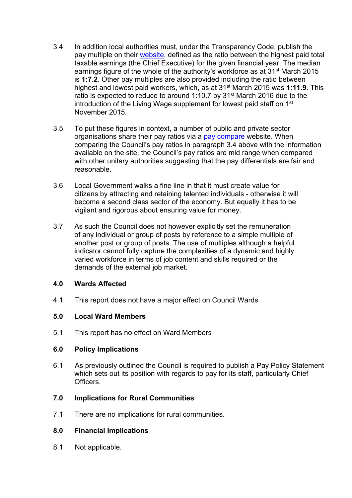- 3.4 In addition local authorities must, under the Transparency Code, publish the pay multiple on their [website](http://www.cheshireeast.gov.uk/council_and_democracy/council_information/transparency.aspx), defined as the ratio between the highest paid total taxable earnings (the Chief Executive) for the given financial year. The median earnings figure of the whole of the authority's workforce as at 31st March 2015 is **1:7.2**. Other pay multiples are also provided including the ratio between highest and lowest paid workers, which, as at 31st March 2015 was **1:11.9**. This ratio is expected to reduce to around 1:10.7 by 31st March 2016 due to the introduction of the Living Wage supplement for lowest paid staff on 1<sup>st</sup> November 2015.
- 3.5 To put these figures in context, a number of public and private sector organisations share their pay ratios via a pay [compare](https://www.paycompare.org.uk/pay-multiples/) website. When comparing the Council's pay ratios in paragraph 3.4 above with the information available on the site, the Council's pay ratios are mid range when compared with other unitary authorities suggesting that the pay differentials are fair and reasonable.
- 3.6 Local Government walks a fine line in that it must create value for citizens by attracting and retaining talented individuals - otherwise it will become a second class sector of the economy. But equally it has to be vigilant and rigorous about ensuring value for money.
- 3.7 As such the Council does not however explicitly set the remuneration of any individual or group of posts by reference to a simple multiple of another post or group of posts. The use of multiples although a helpful indicator cannot fully capture the complexities of a dynamic and highly varied workforce in terms of job content and skills required or the demands of the external job market.

#### **4.0 Wards Affected**

4.1 This report does not have a major effect on Council Wards

# **5.0 Local Ward Members**

5.1 This report has no effect on Ward Members

#### **6.0 Policy Implications**

6.1 As previously outlined the Council is required to publish a Pay Policy Statement which sets out its position with regards to pay for its staff, particularly Chief Officers.

# **7.0 Implications for Rural Communities**

7.1 There are no implications for rural communities.

# **8.0 Financial Implications**

8.1 Not applicable.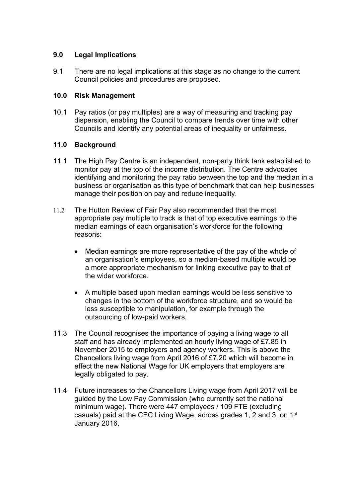# **9.0 Legal Implications**

9.1 There are no legal implications at this stage as no change to the current Council policies and procedures are proposed.

# **10.0 Risk Management**

10.1 Pay ratios (or pay multiples) are a way of measuring and tracking pay dispersion, enabling the Council to compare trends over time with other Councils and identify any potential areas of inequality or unfairness.

# **11.0 Background**

- 11.1 The High Pay Centre is an independent, non-party think tank established to monitor pay at the top of the income distribution. The Centre advocates identifying and monitoring the pay ratio between the top and the median in a business or organisation as this type of benchmark that can help businesses manage their position on pay and reduce inequality.
- 11.2 The Hutton Review of Fair Pay also recommended that the most appropriate pay multiple to track is that of top executive earnings to the median earnings of each organisation's workforce for the following reasons:
	- Median earnings are more representative of the pay of the whole of an organisation's employees, so a median-based multiple would be a more appropriate mechanism for linking executive pay to that of the wider workforce.
	- A multiple based upon median earnings would be less sensitive to changes in the bottom of the workforce structure, and so would be less susceptible to manipulation, for example through the outsourcing of low-paid workers.
- 11.3 The Council recognises the importance of paying a living wage to all staff and has already implemented an hourly living wage of £7.85 in November 2015 to employers and agency workers. This is above the Chancellors living wage from April 2016 of £7.20 which will become in effect the new National Wage for UK employers that employers are legally obligated to pay.
- 11.4 Future increases to the Chancellors Living wage from April 2017 will be guided by the Low Pay Commission (who currently set the national minimum wage). There were 447 employees / 109 FTE (excluding casuals) paid at the CEC Living Wage, across grades 1, 2 and 3, on 1<sup>st</sup> January 2016.